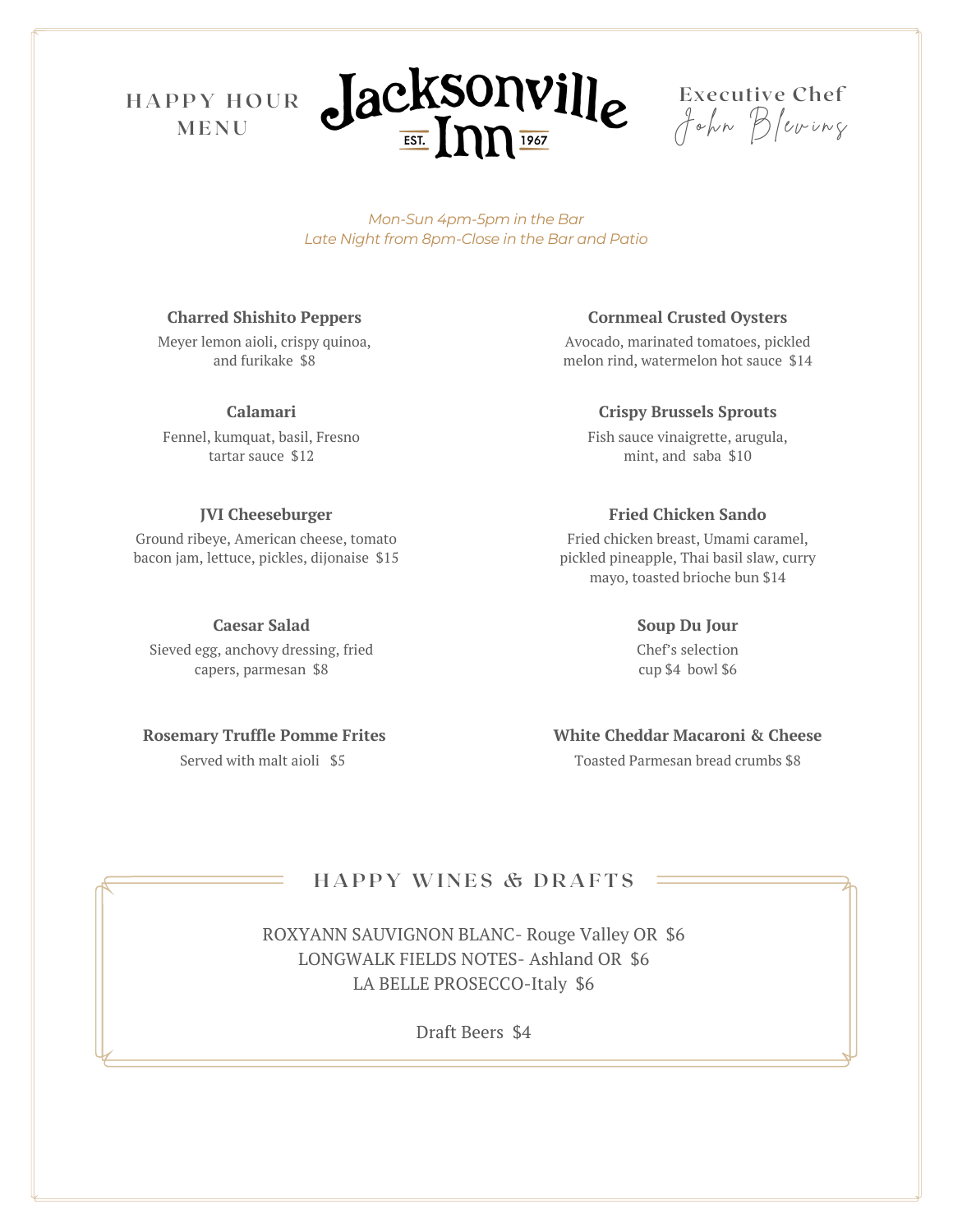**H A P P Y H O U R M E N U**





*Mon-Sun 4pm-5pm in the Bar Late Night from 8pm-Close in the Bar and Patio*

#### **Charred Shishito Peppers**

Meyer lemon aioli, crispy quinoa, and furikake \$8

#### **Calamari**

Fennel, kumquat, basil, Fresno tartar sauce \$12

#### **JVI Cheeseburger**

Ground ribeye, American cheese, tomato bacon jam, lettuce, pickles, dijonaise \$15

**Caesar Salad**

Sieved egg, anchovy dressing, fried capers, parmesan \$8

Served with malt aioli \$5

#### **Cornmeal Crusted Oysters**

Avocado, marinated tomatoes, pickled melon rind, watermelon hot sauce \$14

### **Crispy Brussels Sprouts**

Fish sauce vinaigrette, arugula, mint, and saba \$10

#### **Fried Chicken Sando**

Fried chicken breast, Umami caramel, pickled pineapple, Thai basil slaw, curry mayo, toasted brioche bun \$14

#### **Soup Du Jour**

Chef's selection cup \$4 bowl \$6

# **Rosemary Truffle Pomme Frites White Cheddar Macaroni & Cheese**

Toasted Parmesan bread crumbs \$8

## **H A P P Y WI N E S & D R A F T S**

ROXYANN SAUVIGNON BLANC- Rouge Valley OR \$6 LONGWALK FIELDS NOTES- Ashland OR \$6 LA BELLE PROSECCO-Italy \$6

Draft Beers \$4